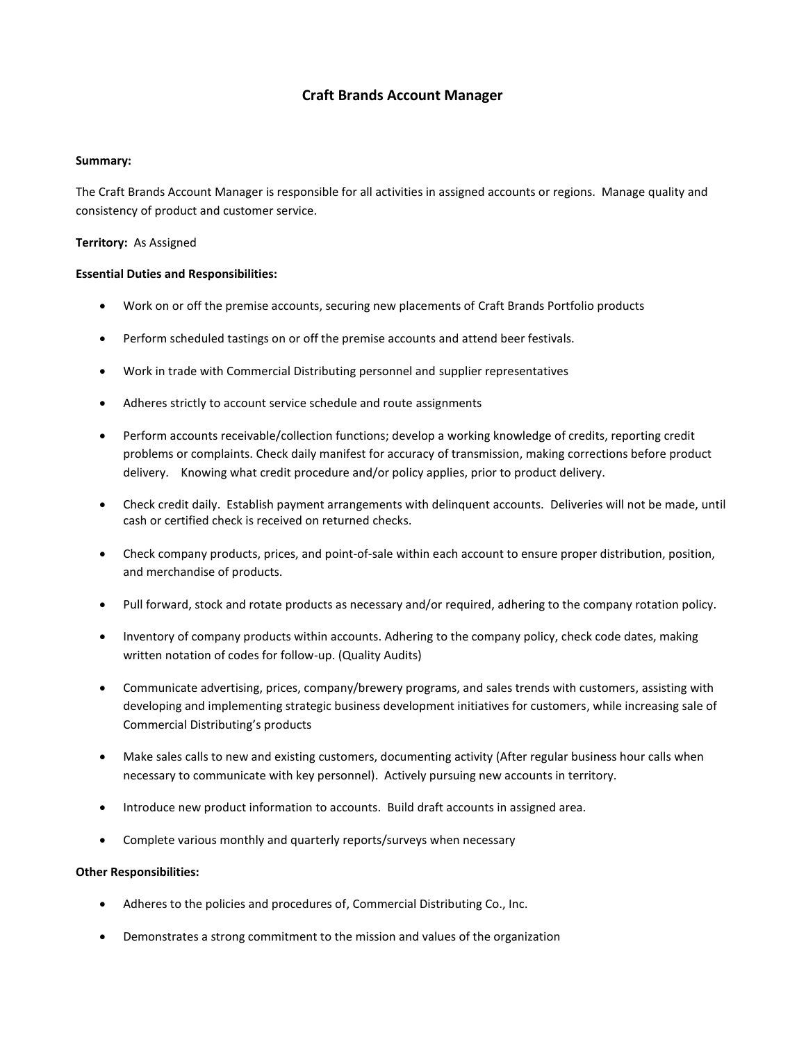# **Craft Brands Account Manager**

#### **Summary:**

The Craft Brands Account Manager is responsible for all activities in assigned accounts or regions. Manage quality and consistency of product and customer service.

### **Territory:** As Assigned

#### **Essential Duties and Responsibilities:**

- Work on or off the premise accounts, securing new placements of Craft Brands Portfolio products
- Perform scheduled tastings on or off the premise accounts and attend beer festivals.
- Work in trade with Commercial Distributing personnel and supplier representatives
- Adheres strictly to account service schedule and route assignments
- Perform accounts receivable/collection functions; develop a working knowledge of credits, reporting credit problems or complaints. Check daily manifest for accuracy of transmission, making corrections before product delivery. Knowing what credit procedure and/or policy applies, prior to product delivery.
- Check credit daily. Establish payment arrangements with delinquent accounts. Deliveries will not be made, until cash or certified check is received on returned checks.
- Check company products, prices, and point-of-sale within each account to ensure proper distribution, position, and merchandise of products.
- Pull forward, stock and rotate products as necessary and/or required, adhering to the company rotation policy.
- Inventory of company products within accounts. Adhering to the company policy, check code dates, making written notation of codes for follow-up. (Quality Audits)
- Communicate advertising, prices, company/brewery programs, and sales trends with customers, assisting with developing and implementing strategic business development initiatives for customers, while increasing sale of Commercial Distributing's products
- Make sales calls to new and existing customers, documenting activity (After regular business hour calls when necessary to communicate with key personnel). Actively pursuing new accounts in territory.
- Introduce new product information to accounts. Build draft accounts in assigned area.
- Complete various monthly and quarterly reports/surveys when necessary

## **Other Responsibilities:**

- Adheres to the policies and procedures of, Commercial Distributing Co., Inc.
- Demonstrates a strong commitment to the mission and values of the organization